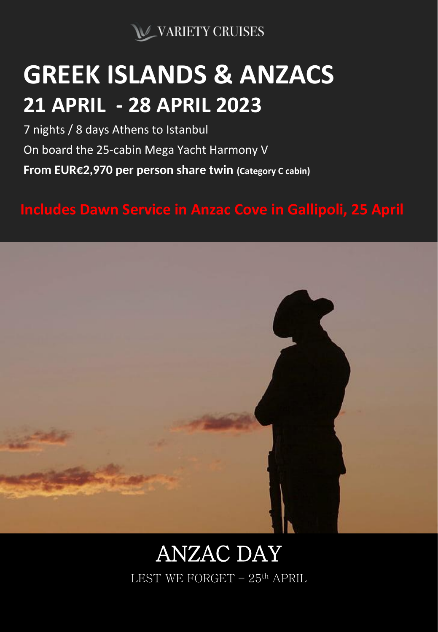

# **GREEK ISLANDS & ANZACS 21 APRIL - 28 APRIL 2023**

**From EUR€2,970 per person share twin (Category C cabin)** 7 nights / 8 days Athens to Istanbul On board the 25-cabin Mega Yacht Harmony V

**Includes Dawn Service in Anzac Cove in Gallipoli, 25 April**



# ANZAC DAY LEST WE FORGET – 25th APRIL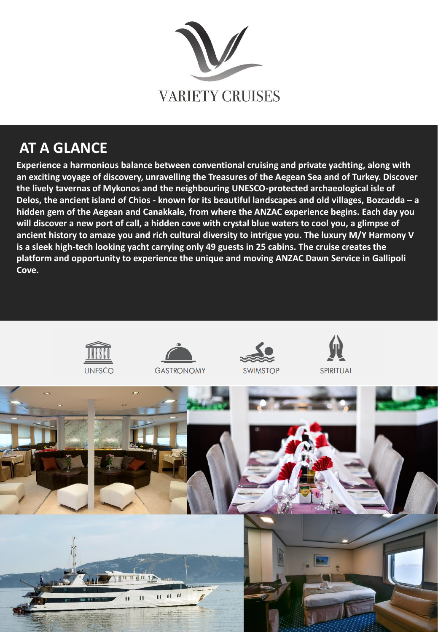

## **AT A GLANCE**

**Experience a harmonious balance between conventional cruising and private yachting, along with an exciting voyage of discovery, unravelling the Treasures of the Aegean Sea and of Turkey. Discover the lively tavernas of Mykonos and the neighbouring UNESCO-protected archaeological isle of Delos, the ancient island of Chios - known for its beautiful landscapes and old villages, Bozcadda – a hidden gem of the Aegean and Canakkale, from where the ANZAC experience begins. Each day you will discover a new port of call, a hidden cove with crystal blue waters to cool you, a glimpse of ancient history to amaze you and rich cultural diversity to intrigue you. The luxury M/Y Harmony V is a sleek high-tech looking yacht carrying only 49 guests in 25 cabins. The cruise creates the platform and opportunity to experience the unique and moving ANZAC Dawn Service in Gallipoli Cove.**

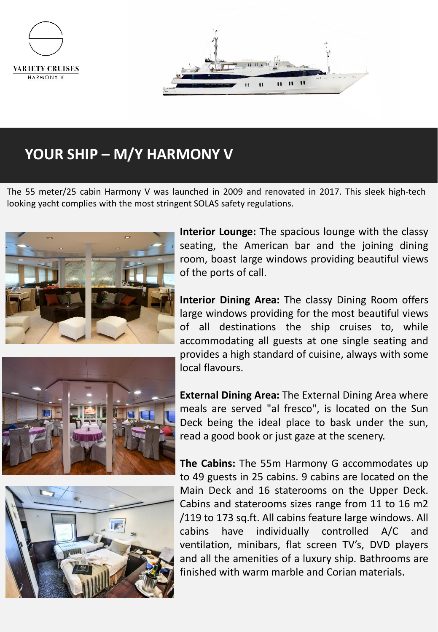

## **YOUR SHIP – M/Y HARMONY V**

The 55 meter/25 cabin Harmony V was launched in 2009 and renovated in 2017. This sleek high-tech looking yacht complies with the most stringent SOLAS safety regulations.



**Interior Lounge:** The spacious lounge with the classy seating, the American bar and the joining dining room, boast large windows providing beautiful views of the ports of call.

**Interior Dining Area:** The classy Dining Room offers large windows providing for the most beautiful views of all destinations the ship cruises to, while accommodating all guests at one single seating and provides a high standard of cuisine, always with some local flavours.



**External Dining Area:** The External Dining Area where meals are served "al fresco", is located on the Sun Deck being the ideal place to bask under the sun, read a good book or just gaze at the scenery.

**The Cabins:** The 55m Harmony G accommodates up to 49 guests in 25 cabins. 9 cabins are located on the Main Deck and 16 staterooms on the Upper Deck. Cabins and staterooms sizes range from 11 to 16 m2 /119 to 173 sq.ft. All cabins feature large windows. All cabins have individually controlled A/C and ventilation, minibars, flat screen TV's, DVD players and all the amenities of a luxury ship. Bathrooms are finished with warm marble and Corian materials.

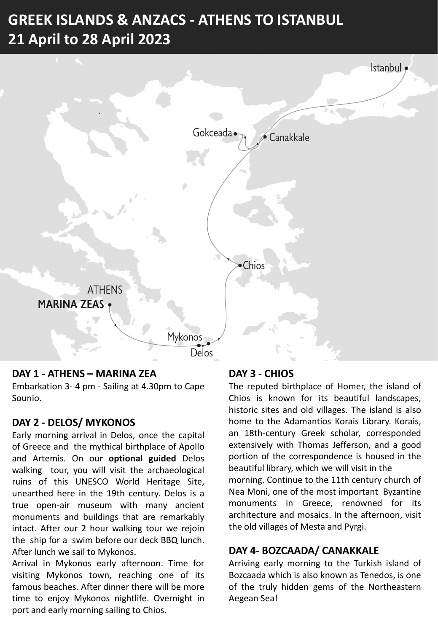# **GREEK ISLANDS & ANZACS - ATHENS TO ISTANBUL 21 April to 28 April 2023**



#### **DAY 1 - ATHENS – MARINA ZEA**

Embarkation 3- 4 pm - Sailing at 4.30pm to Cape Sounio.

#### **DAY 2 - DELOS/ MYKONOS**

Early morning arrival in Delos, once the capital of Greece and the mythical birthplace of Apollo and Artemis. On our **optional guided** Delos walking tour, you will visit the archaeological ruins of this UNESCO World Heritage Site, unearthed here in the 19th century. Delos is a true open-air museum with many ancient monuments and buildings that are remarkably intact. After our 2 hour walking tour we rejoin the ship for a swim before our deck BBQ lunch. After lunch we sail to Mykonos.

Arrival in Mykonos early afternoon. Time for visiting Mykonos town, reaching one of its famous beaches. After dinner there will be more time to enjoy Mykonos nightlife. Overnight in port and early morning sailing to Chios.

#### **DAY 3 - CHIOS**

The reputed birthplace of Homer, the island of Chios is known for its beautiful landscapes, historic sites and old villages. The island is also home to the Adamantios Korais Library. Korais, an 18th-century Greek scholar, corresponded extensively with Thomas Jefferson, and a good portion of the correspondence is housed in the beautiful library, which we will visit in the morning. Continue to the 11th century church of Nea Moni, one of the most important Byzantine monuments in Greece, renowned for its architecture and mosaics. In the afternoon, visit the old villages of Mesta and Pyrgi.

#### **DAY 4- BOZCAADA/ CANAKKALE**

Arriving early morning to the Turkish island of Bozcaada which is also known as Tenedos, is one of the truly hidden gems of the Northeastern Aegean Sea!